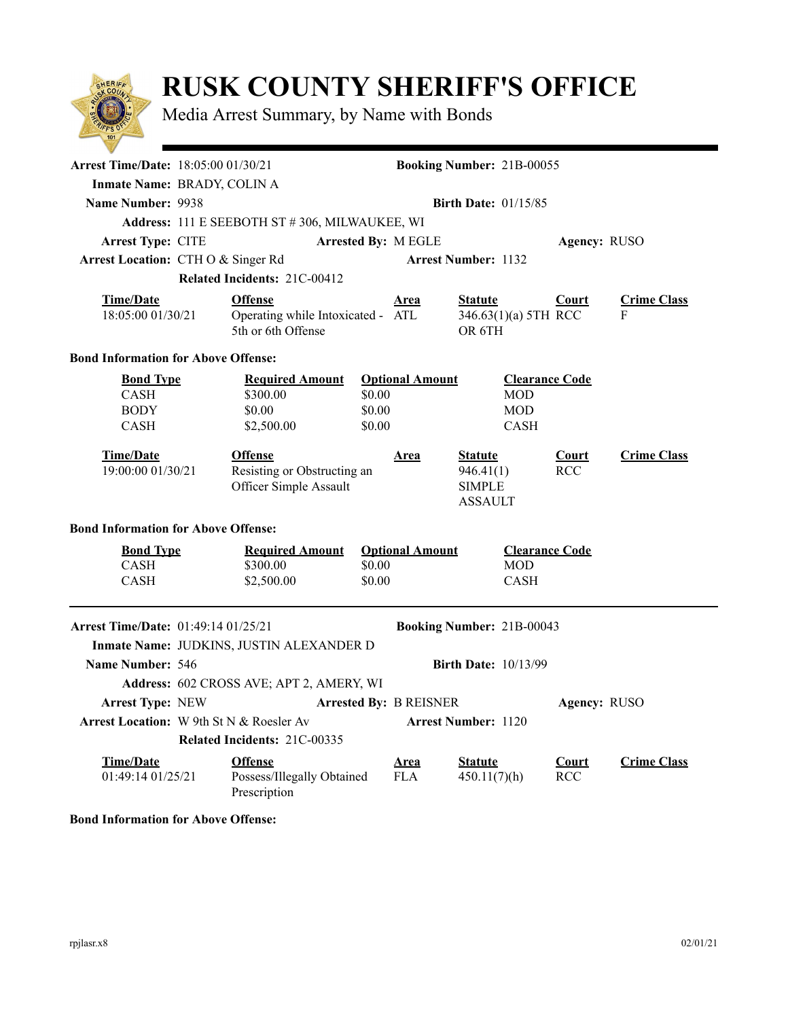

## **RUSK COUNTY SHERIFF'S OFFICE**

Media Arrest Summary, by Name with Bonds

| <b>Arrest Time/Date:</b> 18:05:00 01/30/21                                                                                     |                                               |                                                                         | <b>Booking Number: 21B-00055</b> |                           |                                                                |                            |                    |  |  |
|--------------------------------------------------------------------------------------------------------------------------------|-----------------------------------------------|-------------------------------------------------------------------------|----------------------------------|---------------------------|----------------------------------------------------------------|----------------------------|--------------------|--|--|
|                                                                                                                                | Inmate Name: BRADY, COLIN A                   |                                                                         |                                  |                           |                                                                |                            |                    |  |  |
| Name Number: 9938                                                                                                              | <b>Birth Date: 01/15/85</b>                   |                                                                         |                                  |                           |                                                                |                            |                    |  |  |
|                                                                                                                                | Address: 111 E SEEBOTH ST #306, MILWAUKEE, WI |                                                                         |                                  |                           |                                                                |                            |                    |  |  |
| Arrest Type: CITE                                                                                                              |                                               |                                                                         |                                  | Arrested By: M EGLE       |                                                                | Agency: RUSO               |                    |  |  |
| Arrest Location: CTHO & Singer Rd                                                                                              |                                               |                                                                         |                                  |                           | <b>Arrest Number: 1132</b>                                     |                            |                    |  |  |
|                                                                                                                                | Related Incidents: 21C-00412                  |                                                                         |                                  |                           |                                                                |                            |                    |  |  |
| <b>Time/Date</b>                                                                                                               |                                               | <b>Offense</b>                                                          |                                  | <u>Area</u>               | <b>Statute</b>                                                 | <b>Court</b>               | <b>Crime Class</b> |  |  |
| 18:05:00 01/30/21                                                                                                              |                                               | Operating while Intoxicated - ATL<br>5th or 6th Offense                 |                                  |                           | 346.63(1)(a) 5TH RCC<br>OR 6TH                                 |                            | F                  |  |  |
| <b>Bond Information for Above Offense:</b>                                                                                     |                                               |                                                                         |                                  |                           |                                                                |                            |                    |  |  |
| <b>Bond Type</b><br><b>CASH</b><br><b>BODY</b><br><b>CASH</b>                                                                  |                                               | <b>Required Amount</b><br>\$300.00<br>\$0.00<br>\$2,500.00              | \$0.00<br>\$0.00<br>\$0.00       | <b>Optional Amount</b>    | MOD<br><b>MOD</b><br><b>CASH</b>                               | <b>Clearance Code</b>      |                    |  |  |
| <b>Time/Date</b><br>19:00:00 01/30/21                                                                                          |                                               | <b>Offense</b><br>Resisting or Obstructing an<br>Officer Simple Assault |                                  | <b>Area</b>               | <b>Statute</b><br>946.41(1)<br><b>SIMPLE</b><br><b>ASSAULT</b> | <b>Court</b><br><b>RCC</b> | <b>Crime Class</b> |  |  |
| <b>Bond Information for Above Offense:</b>                                                                                     |                                               |                                                                         |                                  |                           |                                                                |                            |                    |  |  |
| <b>Bond Type</b>                                                                                                               |                                               | <b>Required Amount</b>                                                  |                                  | <b>Optional Amount</b>    |                                                                | <b>Clearance Code</b>      |                    |  |  |
| <b>CASH</b>                                                                                                                    |                                               | \$300.00                                                                | \$0.00                           |                           | MOD                                                            |                            |                    |  |  |
| <b>CASH</b>                                                                                                                    |                                               | \$2,500.00                                                              | \$0.00                           |                           | <b>CASH</b>                                                    |                            |                    |  |  |
| <b>Arrest Time/Date:</b> 01:49:14 01/25/21<br>Booking Number: 21B-00043<br>Inmate Name: JUDKINS, JUSTIN ALEXANDER D            |                                               |                                                                         |                                  |                           |                                                                |                            |                    |  |  |
| Name Number: 546                                                                                                               |                                               |                                                                         |                                  |                           | <b>Birth Date: 10/13/99</b>                                    |                            |                    |  |  |
| Address: 602 CROSS AVE; APT 2, AMERY, WI                                                                                       |                                               |                                                                         |                                  |                           |                                                                |                            |                    |  |  |
| <b>Arrest Type: NEW</b>                                                                                                        |                                               |                                                                         |                                  |                           |                                                                |                            |                    |  |  |
| <b>Arrested By: B REISNER</b><br>Agency: RUSO<br><b>Arrest Location:</b> W 9th St N & Roesler Av<br><b>Arrest Number: 1120</b> |                                               |                                                                         |                                  |                           |                                                                |                            |                    |  |  |
| <b>Related Incidents: 21C-00335</b>                                                                                            |                                               |                                                                         |                                  |                           |                                                                |                            |                    |  |  |
| <b>Time/Date</b><br>01:49:14 01/25/21                                                                                          |                                               | <b>Offense</b><br>Possess/Illegally Obtained<br>Prescription            |                                  | <b>Area</b><br><b>FLA</b> | <b>Statute</b><br>450.11(7)(h)                                 | <b>Court</b><br><b>RCC</b> | <b>Crime Class</b> |  |  |

**Bond Information for Above Offense:**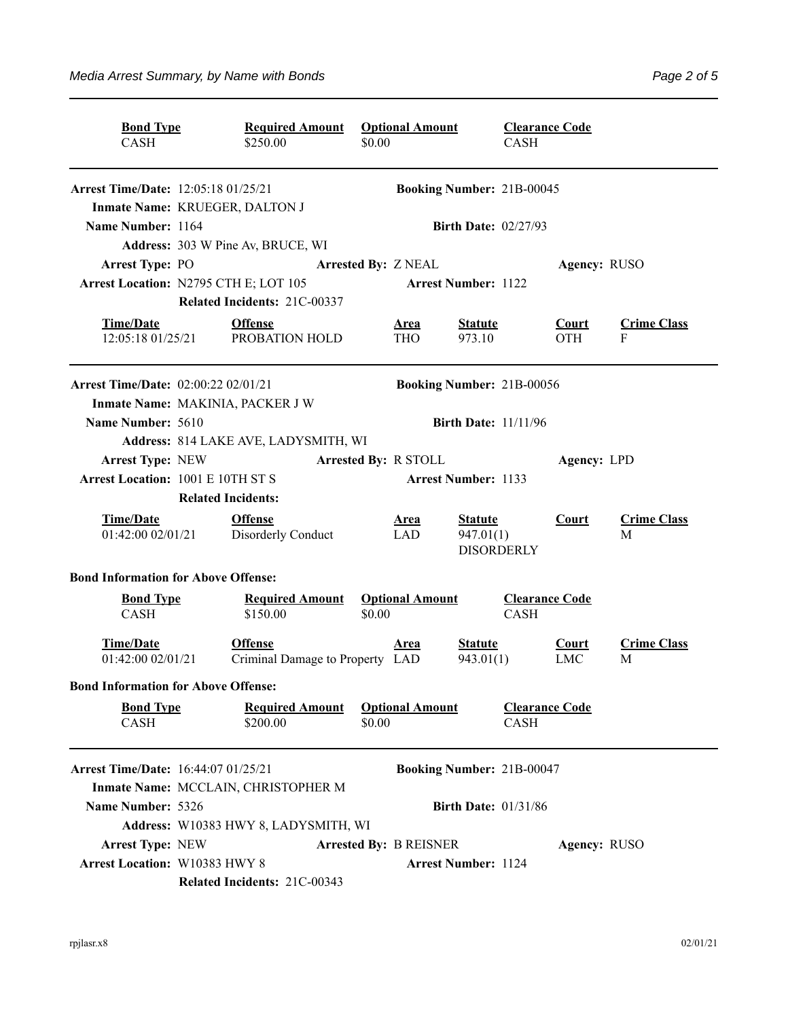| <b>Bond Type</b><br><b>CASH</b>            | <b>Required Amount</b><br>\$250.00                | <b>Optional Amount</b><br>\$0.00 | <b>CASH</b>                                      | <b>Clearance Code</b>      |                         |  |  |
|--------------------------------------------|---------------------------------------------------|----------------------------------|--------------------------------------------------|----------------------------|-------------------------|--|--|
| <b>Arrest Time/Date:</b> 12:05:18 01/25/21 |                                                   |                                  | <b>Booking Number: 21B-00045</b>                 |                            |                         |  |  |
| Inmate Name: KRUEGER, DALTON J             |                                                   |                                  |                                                  |                            |                         |  |  |
| Name Number: 1164                          |                                                   |                                  | <b>Birth Date: 02/27/93</b>                      |                            |                         |  |  |
|                                            | Address: 303 W Pine Av, BRUCE, WI                 |                                  |                                                  |                            |                         |  |  |
| <b>Arrest Type: PO</b>                     |                                                   | <b>Arrested By: Z NEAL</b>       |                                                  |                            | Agency: RUSO            |  |  |
| Arrest Location: N2795 CTH E; LOT 105      |                                                   |                                  | <b>Arrest Number: 1122</b>                       |                            |                         |  |  |
|                                            | Related Incidents: 21C-00337                      |                                  |                                                  |                            |                         |  |  |
| <b>Time/Date</b><br>12:05:18 01/25/21      | <b>Offense</b><br>PROBATION HOLD                  | <u>Area</u><br><b>THO</b>        | <b>Statute</b><br>973.10                         | <b>Court</b><br><b>OTH</b> | <b>Crime Class</b><br>F |  |  |
| <b>Arrest Time/Date:</b> 02:00:22 02/01/21 |                                                   |                                  | <b>Booking Number: 21B-00056</b>                 |                            |                         |  |  |
| Inmate Name: MAKINIA, PACKER J W           |                                                   |                                  |                                                  |                            |                         |  |  |
| Name Number: 5610                          |                                                   |                                  | <b>Birth Date: 11/11/96</b>                      |                            |                         |  |  |
|                                            | Address: 814 LAKE AVE, LADYSMITH, WI              |                                  |                                                  |                            |                         |  |  |
| <b>Arrest Type: NEW</b>                    |                                                   | <b>Arrested By: R STOLL</b>      |                                                  | Agency: LPD                |                         |  |  |
| <b>Arrest Location: 1001 E 10TH ST S</b>   |                                                   |                                  | <b>Arrest Number: 1133</b>                       |                            |                         |  |  |
|                                            | <b>Related Incidents:</b>                         |                                  |                                                  |                            |                         |  |  |
| <b>Time/Date</b><br>01:42:00 02/01/21      | <b>Offense</b><br>Disorderly Conduct              | <b>Area</b><br><b>LAD</b>        | <b>Statute</b><br>947.01(1)<br><b>DISORDERLY</b> | Court                      | <b>Crime Class</b><br>M |  |  |
| <b>Bond Information for Above Offense:</b> |                                                   |                                  |                                                  |                            |                         |  |  |
| <b>Bond Type</b><br><b>CASH</b>            | <b>Required Amount</b><br>\$150.00                | <b>Optional Amount</b><br>\$0.00 | <b>CASH</b>                                      | <b>Clearance Code</b>      |                         |  |  |
| <b>Time/Date</b><br>01:42:00 02/01/21      | <b>Offense</b><br>Criminal Damage to Property LAD | <u>Area</u>                      | <b>Statute</b><br>943.01(1)                      | Court<br><b>LMC</b>        | <b>Crime Class</b><br>M |  |  |
| <b>Bond Information for Above Offense:</b> |                                                   |                                  |                                                  |                            |                         |  |  |
| <b>Bond Type</b><br>CASH                   | <b>Required Amount</b><br>\$200.00                | <b>Optional Amount</b><br>\$0.00 | <b>CASH</b>                                      | <b>Clearance Code</b>      |                         |  |  |
| <b>Arrest Time/Date:</b> 16:44:07 01/25/21 |                                                   |                                  | <b>Booking Number: 21B-00047</b>                 |                            |                         |  |  |
|                                            | Inmate Name: MCCLAIN, CHRISTOPHER M               |                                  |                                                  |                            |                         |  |  |
| Name Number: 5326                          |                                                   |                                  | <b>Birth Date: 01/31/86</b>                      |                            |                         |  |  |
|                                            | Address: W10383 HWY 8, LADYSMITH, WI              |                                  |                                                  |                            |                         |  |  |
| <b>Arrest Type: NEW</b>                    |                                                   | <b>Arrested By: B REISNER</b>    |                                                  | Agency: RUSO               |                         |  |  |
| Arrest Location: W10383 HWY 8              |                                                   |                                  | <b>Arrest Number: 1124</b>                       |                            |                         |  |  |
|                                            | Related Incidents: 21C-00343                      |                                  |                                                  |                            |                         |  |  |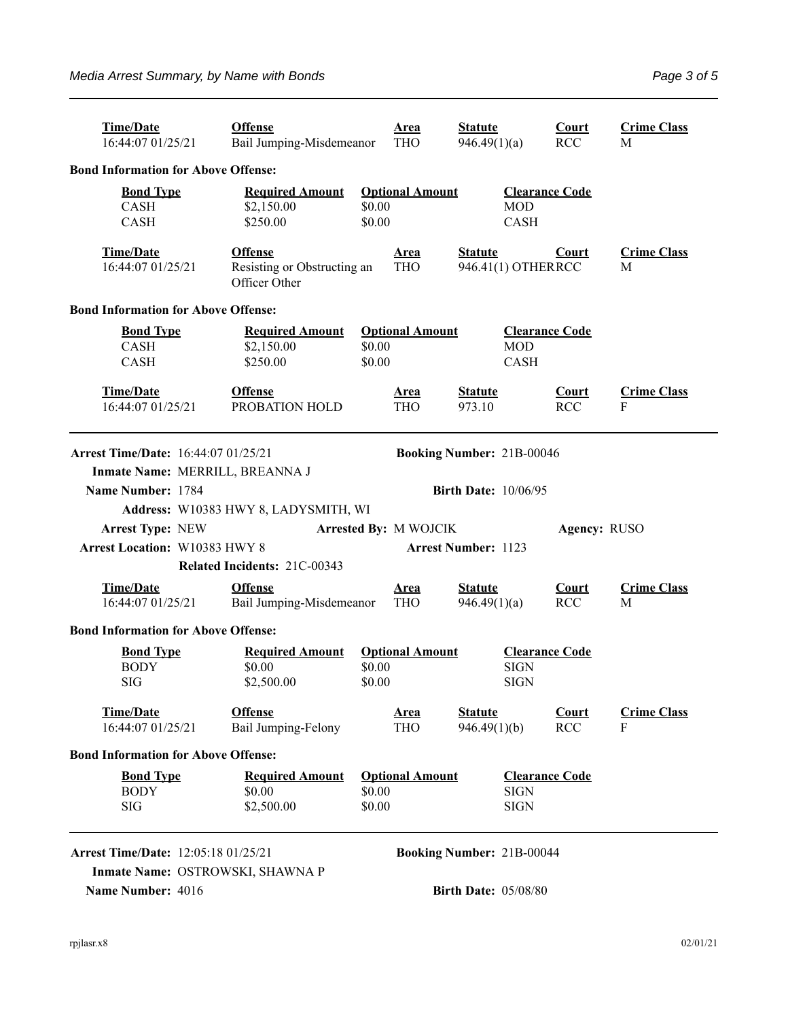| <b>Time/Date</b><br>16:44:07 01/25/21                                   | <b>Offense</b><br>Bail Jumping-Misdemeanor                     | <b>Area</b><br><b>THO</b>                  | <b>Statute</b><br>946.49(1)(a)       | <b>Court</b><br><b>RCC</b> | <b>Crime Class</b><br>M |  |  |  |
|-------------------------------------------------------------------------|----------------------------------------------------------------|--------------------------------------------|--------------------------------------|----------------------------|-------------------------|--|--|--|
| <b>Bond Information for Above Offense:</b>                              |                                                                |                                            |                                      |                            |                         |  |  |  |
| <b>Bond Type</b><br>CASH<br><b>CASH</b>                                 | <b>Required Amount</b><br>\$2,150.00<br>\$250.00               | <b>Optional Amount</b><br>\$0.00<br>\$0.00 | <b>MOD</b><br><b>CASH</b>            | <b>Clearance Code</b>      |                         |  |  |  |
| <b>Time/Date</b><br>16:44:07 01/25/21                                   | <b>Offense</b><br>Resisting or Obstructing an<br>Officer Other | <u>Area</u><br><b>THO</b>                  | <b>Statute</b><br>946.41(1) OTHERRCC | <b>Court</b>               | <b>Crime Class</b><br>M |  |  |  |
| <b>Bond Information for Above Offense:</b>                              |                                                                |                                            |                                      |                            |                         |  |  |  |
| <b>Bond Type</b><br><b>CASH</b><br><b>CASH</b>                          | <b>Required Amount</b><br>\$2,150.00<br>\$250.00               | <b>Optional Amount</b><br>\$0.00<br>\$0.00 | <b>MOD</b><br><b>CASH</b>            |                            | <b>Clearance Code</b>   |  |  |  |
| <b>Time/Date</b><br>16:44:07 01/25/21                                   | <b>Offense</b><br>PROBATION HOLD                               | <u>Area</u><br><b>THO</b>                  | <b>Statute</b><br>973.10             | <b>Court</b><br><b>RCC</b> | <b>Crime Class</b><br>F |  |  |  |
| Arrest Time/Date: 16:44:07 01/25/21<br><b>Booking Number: 21B-00046</b> |                                                                |                                            |                                      |                            |                         |  |  |  |
| Inmate Name: MERRILL, BREANNA J                                         |                                                                |                                            |                                      |                            |                         |  |  |  |
| Name Number: 1784<br><b>Birth Date: 10/06/95</b>                        |                                                                |                                            |                                      |                            |                         |  |  |  |
|                                                                         | Address: W10383 HWY 8, LADYSMITH, WI                           |                                            |                                      |                            |                         |  |  |  |
| <b>Arrest Type: NEW</b>                                                 |                                                                | Arrested By: M WOJCIK                      |                                      | Agency: RUSO               |                         |  |  |  |
| <b>Arrest Location: W10383 HWY 8</b>                                    | Related Incidents: 21C-00343                                   |                                            | <b>Arrest Number: 1123</b>           |                            |                         |  |  |  |
| <b>Time/Date</b><br>16:44:07 01/25/21                                   | <b>Offense</b><br>Bail Jumping-Misdemeanor                     | <u>Area</u><br><b>THO</b>                  | <b>Statute</b><br>946.49(1)(a)       | Court<br><b>RCC</b>        | <b>Crime Class</b><br>M |  |  |  |
| <b>Bond Information for Above Offense:</b>                              |                                                                |                                            |                                      |                            |                         |  |  |  |
| <b>Bond Type</b><br><b>BODY</b><br><b>SIG</b>                           | <b>Required Amount</b><br>\$0.00<br>\$2,500.00                 | <b>Optional Amount</b><br>\$0.00<br>\$0.00 | <b>SIGN</b><br><b>SIGN</b>           | <b>Clearance Code</b>      |                         |  |  |  |
| <b>Time/Date</b><br>16:44:07 01/25/21                                   | <b>Offense</b><br>Bail Jumping-Felony                          | <u>Area</u><br><b>THO</b>                  | <b>Statute</b><br>946.49(1)(b)       | <b>Court</b><br><b>RCC</b> | <b>Crime Class</b><br>F |  |  |  |
| <b>Bond Information for Above Offense:</b>                              |                                                                |                                            |                                      |                            |                         |  |  |  |
| <b>Bond Type</b><br><b>BODY</b><br><b>SIG</b>                           | <b>Required Amount</b><br>\$0.00<br>\$2,500.00                 | <b>Optional Amount</b><br>\$0.00<br>\$0.00 | <b>SIGN</b><br><b>SIGN</b>           | <b>Clearance Code</b>      |                         |  |  |  |
| <b>Arrest Time/Date:</b> 12:05:18 01/25/21                              |                                                                |                                            | <b>Booking Number: 21B-00044</b>     |                            |                         |  |  |  |
| Inmate Name: OSTROWSKI, SHAWNA P<br>Name Number: 4016                   | <b>Birth Date: 05/08/80</b>                                    |                                            |                                      |                            |                         |  |  |  |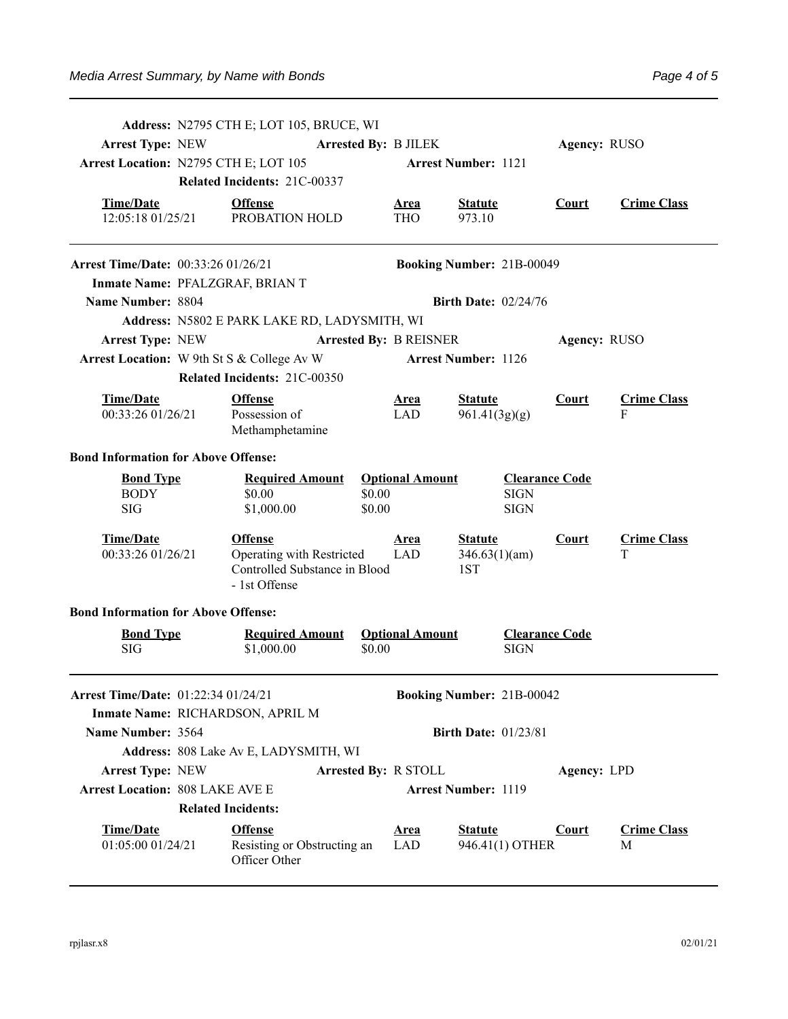| <b>Arrest Type: NEW</b>                             | Address: N2795 CTH E; LOT 105, BRUCE, WI<br><b>Arrested By: B JILEK</b><br>Arrest Location: N2795 CTH E; LOT 105<br>Related Incidents: 21C-00337 |                                                                                               |                               | <b>Arrest Number: 1121</b>  |                                        |                                                     | Agency: RUSO |                         |  |  |
|-----------------------------------------------------|--------------------------------------------------------------------------------------------------------------------------------------------------|-----------------------------------------------------------------------------------------------|-------------------------------|-----------------------------|----------------------------------------|-----------------------------------------------------|--------------|-------------------------|--|--|
| <b>Time/Date</b><br>12:05:18 01/25/21               |                                                                                                                                                  | <b>Offense</b><br>PROBATION HOLD                                                              |                               | <u>Area</u><br><b>THO</b>   | <b>Statute</b><br>973.10               |                                                     | <b>Court</b> | <b>Crime Class</b>      |  |  |
| <b>Arrest Time/Date:</b> 00:33:26 01/26/21          |                                                                                                                                                  | <b>Booking Number: 21B-00049</b>                                                              |                               |                             |                                        |                                                     |              |                         |  |  |
|                                                     | Inmate Name: PFALZGRAF, BRIAN T                                                                                                                  |                                                                                               |                               |                             |                                        |                                                     |              |                         |  |  |
| Name Number: 8804                                   |                                                                                                                                                  |                                                                                               |                               |                             | <b>Birth Date: 02/24/76</b>            |                                                     |              |                         |  |  |
| <b>Address: N5802 E PARK LAKE RD, LADYSMITH, WI</b> |                                                                                                                                                  |                                                                                               |                               |                             |                                        |                                                     |              |                         |  |  |
| <b>Arrest Type: NEW</b>                             |                                                                                                                                                  |                                                                                               | <b>Arrested By: B REISNER</b> |                             |                                        |                                                     |              | Agency: RUSO            |  |  |
|                                                     |                                                                                                                                                  | Arrest Location: W 9th St S & College Av W                                                    |                               |                             | <b>Arrest Number: 1126</b>             |                                                     |              |                         |  |  |
|                                                     |                                                                                                                                                  | Related Incidents: 21C-00350                                                                  |                               |                             |                                        |                                                     |              |                         |  |  |
| <b>Time/Date</b><br>00:33:26 01/26/21               |                                                                                                                                                  | <b>Offense</b><br>Possession of<br>Methamphetamine                                            |                               | <b>Area</b><br>LAD          | <b>Statute</b><br>961.41(3g)(g)        |                                                     | <b>Court</b> | <b>Crime Class</b><br>F |  |  |
| <b>Bond Information for Above Offense:</b>          |                                                                                                                                                  |                                                                                               |                               |                             |                                        |                                                     |              |                         |  |  |
| <b>Bond Type</b><br><b>BODY</b><br><b>SIG</b>       |                                                                                                                                                  | <b>Required Amount</b><br>\$0.00<br>\$1,000.00                                                | \$0.00<br>\$0.00              | <b>Optional Amount</b>      |                                        | <b>Clearance Code</b><br><b>SIGN</b><br><b>SIGN</b> |              |                         |  |  |
| <b>Time/Date</b><br>00:33:26 01/26/21               |                                                                                                                                                  | <b>Offense</b><br>Operating with Restricted<br>Controlled Substance in Blood<br>- 1st Offense |                               | <u>Area</u><br><b>LAD</b>   | <b>Statute</b><br>346.63(1)(am)<br>1ST |                                                     | <b>Court</b> | <b>Crime Class</b><br>T |  |  |
| <b>Bond Information for Above Offense:</b>          |                                                                                                                                                  |                                                                                               |                               |                             |                                        |                                                     |              |                         |  |  |
| <b>Bond Type</b><br><b>SIG</b>                      |                                                                                                                                                  | <b>Required Amount</b><br>\$1,000.00                                                          | \$0.00                        | <b>Optional Amount</b>      |                                        | <b>Clearance Code</b><br><b>SIGN</b>                |              |                         |  |  |
| Arrest Time/Date: 01:22:34 01/24/21                 |                                                                                                                                                  |                                                                                               |                               |                             | Booking Number: 21B-00042              |                                                     |              |                         |  |  |
|                                                     |                                                                                                                                                  | Inmate Name: RICHARDSON, APRIL M                                                              |                               |                             |                                        |                                                     |              |                         |  |  |
| Name Number: 3564                                   |                                                                                                                                                  |                                                                                               |                               |                             | <b>Birth Date: 01/23/81</b>            |                                                     |              |                         |  |  |
|                                                     |                                                                                                                                                  | Address: 808 Lake Av E, LADYSMITH, WI                                                         |                               |                             |                                        |                                                     |              |                         |  |  |
| <b>Arrest Type: NEW</b>                             |                                                                                                                                                  |                                                                                               |                               | <b>Arrested By: R STOLL</b> |                                        |                                                     | Agency: LPD  |                         |  |  |
| <b>Arrest Location: 808 LAKE AVE E</b>              |                                                                                                                                                  |                                                                                               |                               |                             | <b>Arrest Number: 1119</b>             |                                                     |              |                         |  |  |
|                                                     |                                                                                                                                                  | <b>Related Incidents:</b>                                                                     |                               |                             |                                        |                                                     |              |                         |  |  |
| <b>Time/Date</b><br>01:05:00 01/24/21               |                                                                                                                                                  | <b>Offense</b><br>Resisting or Obstructing an<br>Officer Other                                |                               | <u>Area</u><br><b>LAD</b>   | <b>Statute</b>                         | 946.41(1) OTHER                                     | <b>Court</b> | <b>Crime Class</b><br>M |  |  |